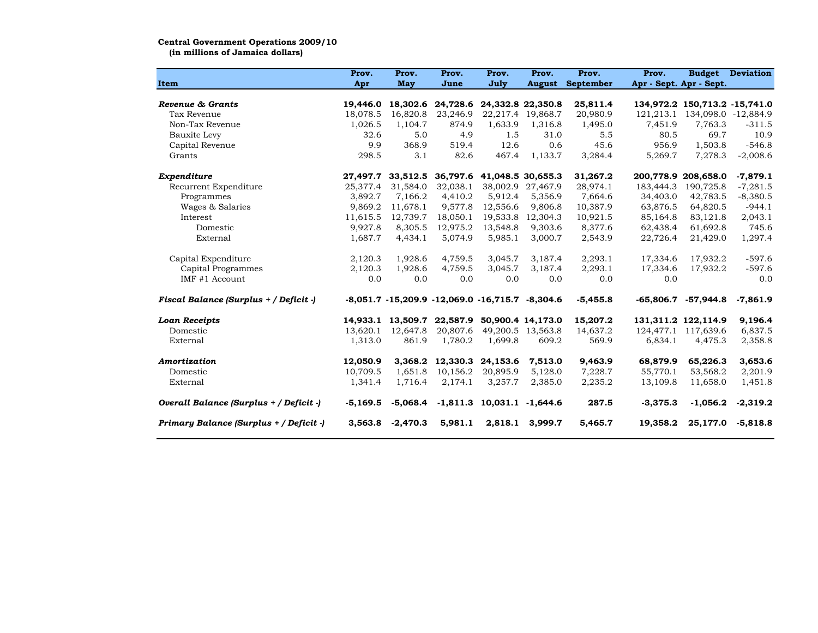## Central Government Operations 2009/10

(in millions of Jamaica dollars)

|                                         | Prov.      | Prov.             | Prov.                                                     | Prov.                      | Prov.             | Prov.                   | Prov.                   | <b>Budget</b>                 | <b>Deviation</b>    |
|-----------------------------------------|------------|-------------------|-----------------------------------------------------------|----------------------------|-------------------|-------------------------|-------------------------|-------------------------------|---------------------|
| <b>Item</b>                             | Apr        | May               | June                                                      | July                       |                   | <b>August</b> September | Apr - Sept. Apr - Sept. |                               |                     |
|                                         |            |                   |                                                           |                            |                   |                         |                         |                               |                     |
| Revenue & Grants                        | 19,446.0   | 18,302.6          |                                                           | 24,728.6 24,332.8 22,350.8 |                   | 25,811.4                |                         | 134,972.2 150,713.2 -15,741.0 |                     |
| Tax Revenue                             | 18,078.5   | 16,820.8          | 23,246.9                                                  |                            | 22,217.4 19,868.7 | 20,980.9                | 121,213.1               |                               | 134,098.0 -12,884.9 |
| Non-Tax Revenue                         | 1,026.5    | 1,104.7           | 874.9                                                     | 1,633.9                    | 1,316.8           | 1,495.0                 | 7,451.9                 | 7,763.3                       | $-311.5$            |
| Bauxite Levy                            | 32.6       | 5.0               | 4.9                                                       | 1.5                        | 31.0              | 5.5                     | 80.5                    | 69.7                          | 10.9                |
| Capital Revenue                         | 9.9        | 368.9             | 519.4                                                     | 12.6                       | 0.6               | 45.6                    | 956.9                   | 1,503.8                       | $-546.8$            |
| Grants                                  | 298.5      | 3.1               | 82.6                                                      | 467.4                      | 1,133.7           | 3,284.4                 | 5,269.7                 | 7,278.3                       | $-2,008.6$          |
| Expenditure                             | 27,497.7   | 33,512.5          | 36,797.6                                                  | 41,048.5 30,655.3          |                   | 31,267.2                |                         | 200,778.9 208,658.0           | $-7,879.1$          |
| Recurrent Expenditure                   | 25.377.4   | 31,584.0          | 32.038.1                                                  | 38,002.9                   | 27,467.9          | 28,974.1                | 183,444.3               | 190.725.8                     | $-7,281.5$          |
| Programmes                              | 3,892.7    | 7,166.2           | 4,410.2                                                   | 5,912.4                    | 5,356.9           | 7,664.6                 | 34,403.0                | 42,783.5                      | $-8,380.5$          |
| Wages & Salaries                        | 9,869.2    | 11,678.1          | 9,577.8                                                   | 12,556.6                   | 9,806.8           | 10,387.9                | 63,876.5                | 64,820.5                      | $-944.1$            |
| Interest                                | 11,615.5   | 12,739.7          | 18,050.1                                                  | 19,533.8                   | 12,304.3          | 10,921.5                | 85,164.8                | 83,121.8                      | 2,043.1             |
| Domestic                                | 9,927.8    | 8,305.5           | 12,975.2                                                  | 13,548.8                   | 9,303.6           | 8,377.6                 | 62,438.4                | 61,692.8                      | 745.6               |
| External                                | 1,687.7    | 4,434.1           | 5,074.9                                                   | 5,985.1                    | 3,000.7           | 2,543.9                 | 22,726.4                | 21,429.0                      | 1,297.4             |
| Capital Expenditure                     | 2,120.3    | 1,928.6           | 4,759.5                                                   | 3,045.7                    | 3,187.4           | 2,293.1                 | 17,334.6                | 17,932.2                      | $-597.6$            |
| Capital Programmes                      | 2,120.3    | 1,928.6           | 4,759.5                                                   | 3,045.7                    | 3,187.4           | 2,293.1                 | 17,334.6                | 17,932.2                      | $-597.6$            |
| IMF #1 Account                          | 0.0        | 0.0               | 0.0                                                       | 0.0                        | 0.0               | 0.0                     | 0.0                     |                               | 0.0                 |
| Fiscal Balance (Surplus + / Deficit -)  |            |                   | $-8,051.7$ $-15,209.9$ $-12,069.0$ $-16,715.7$ $-8,304.6$ |                            |                   | $-5,455.8$              | $-65,806.7$             | $-57,944.8$                   | $-7,861.9$          |
| <b>Loan Receipts</b>                    |            | 14,933.1 13,509.7 | 22,587.9                                                  |                            | 50,900.4 14,173.0 | 15,207.2                |                         | 131, 311. 2 122, 114. 9       | 9,196.4             |
| Domestic                                | 13.620.1   | 12,647.8          | 20,807.6                                                  | 49,200.5                   | 13,563.8          | 14,637.2                |                         | 124, 477.1 117, 639.6         | 6,837.5             |
| External                                | 1,313.0    | 861.9             | 1,780.2                                                   | 1,699.8                    | 609.2             | 569.9                   | 6,834.1                 | 4,475.3                       | 2,358.8             |
| Amortization                            | 12,050.9   | 3,368.2           | 12,330.3                                                  | 24,153.6                   | 7,513.0           | 9,463.9                 | 68,879.9                | 65,226.3                      | 3,653.6             |
| Domestic                                | 10,709.5   | 1,651.8           | 10,156.2                                                  | 20.895.9                   | 5.128.0           | 7,228.7                 | 55,770.1                | 53,568.2                      | 2,201.9             |
| External                                | 1,341.4    | 1,716.4           | 2,174.1                                                   | 3,257.7                    | 2,385.0           | 2,235.2                 | 13,109.8                | 11,658.0                      | 1,451.8             |
| Overall Balance (Surplus + / Deficit -) | $-5,169.5$ | $-5,068.4$        | $-1,811.3$                                                | 10,031.1                   | $-1,644.6$        | 287.5                   | $-3,375.3$              | $-1,056.2$                    | $-2,319.2$          |
| Primary Balance (Surplus + / Deficit -) | 3,563.8    | $-2,470.3$        | 5,981.1                                                   | 2,818.1                    | 3,999.7           | 5,465.7                 | 19,358.2                | 25,177.0                      | $-5,818.8$          |